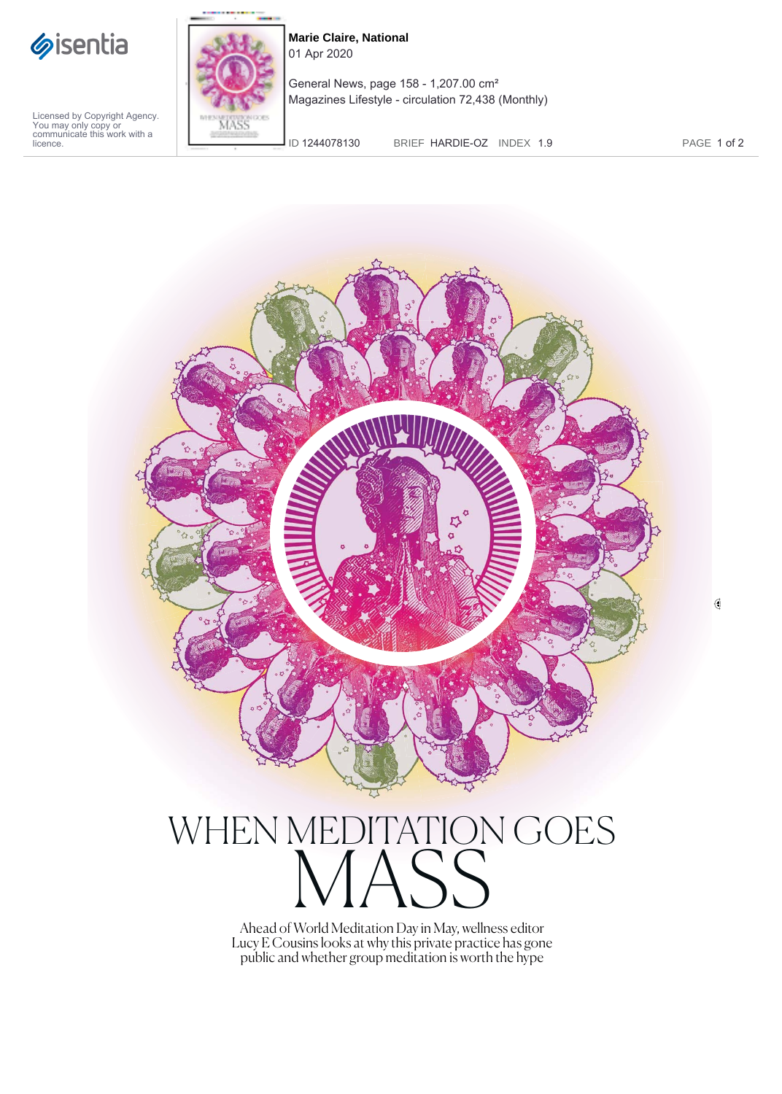

MASS

**Marie Claire, National** 01 Apr 2020

General News, page 158 - 1,207.00 cm² Magazines Lifestyle - circulation 72,438 (Monthly)

Licensed by Copyright Agency. You may only copy or communicate this work with a licence.

ID 1244078130 BRIEF HARDIE-OZ INDEX 1.9 PAGE 1 of 2

 $\mathbb Q$ 



Ahead of World Meditation Day in May, wellness editor Lucy E Cousins looks at why this private practice has gone public and whether group meditation is worth the hype